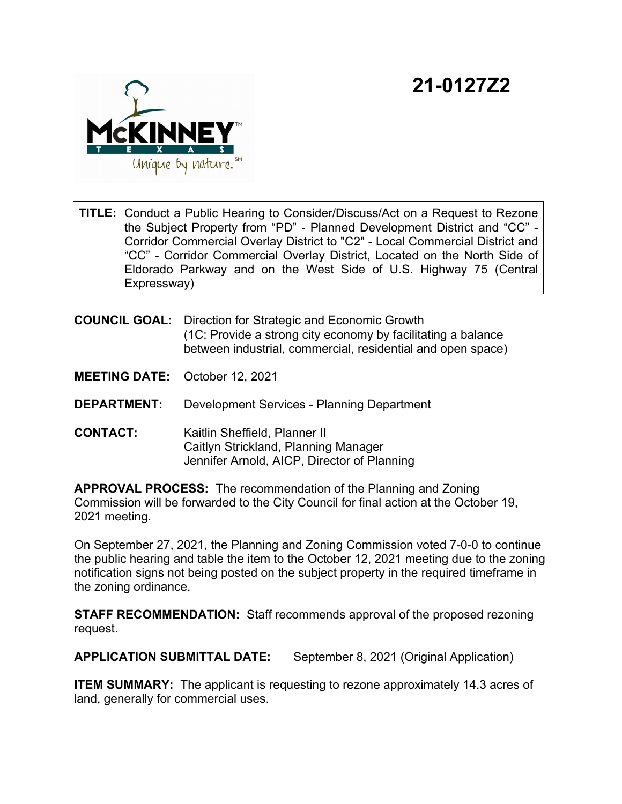## **21-0127Z2**



**TITLE:** Conduct a Public Hearing to Consider/Discuss/Act on a Request to Rezone the Subject Property from "PD" - Planned Development District and "CC" - Corridor Commercial Overlay District to "C2" - Local Commercial District and "CC" - Corridor Commercial Overlay District, Located on the North Side of Eldorado Parkway and on the West Side of U.S. Highway 75 (Central Expressway)

**COUNCIL GOAL:** Direction for Strategic and Economic Growth (1C: Provide a strong city economy by facilitating a balance between industrial, commercial, residential and open space)

**MEETING DATE:** October 12, 2021

**DEPARTMENT:** Development Services - Planning Department

**CONTACT:** Kaitlin Sheffield, Planner II Caitlyn Strickland, Planning Manager Jennifer Arnold, AICP, Director of Planning

**APPROVAL PROCESS:** The recommendation of the Planning and Zoning Commission will be forwarded to the City Council for final action at the October 19, 2021 meeting.

On September 27, 2021, the Planning and Zoning Commission voted 7-0-0 to continue the public hearing and table the item to the October 12, 2021 meeting due to the zoning notification signs not being posted on the subject property in the required timeframe in the zoning ordinance.

**STAFF RECOMMENDATION:** Staff recommends approval of the proposed rezoning request.

**APPLICATION SUBMITTAL DATE:** September 8, 2021 (Original Application)

**ITEM SUMMARY:** The applicant is requesting to rezone approximately 14.3 acres of land, generally for commercial uses.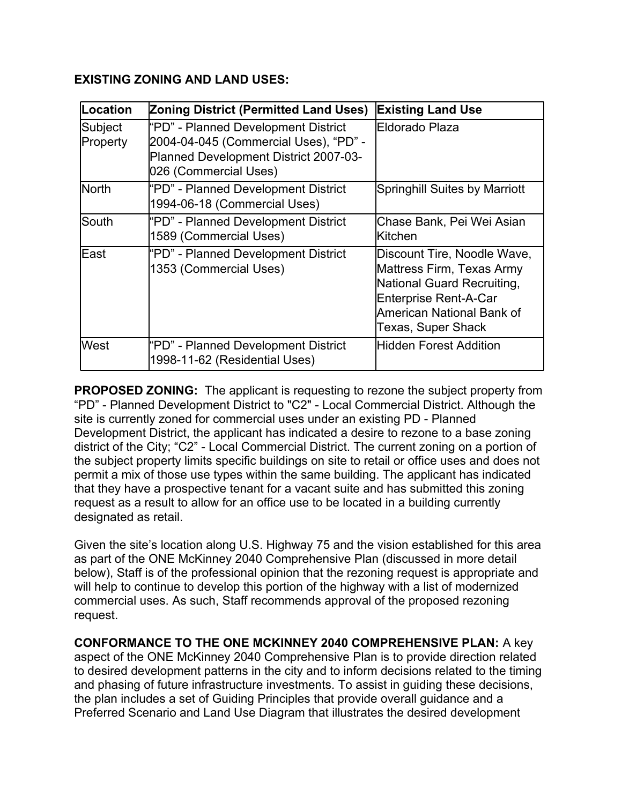## **EXISTING ZONING AND LAND USES:**

| Location            | <b>Zoning District (Permitted Land Uses)</b>                                                                                                   | <b>Existing Land Use</b>                                                                                                                                                  |
|---------------------|------------------------------------------------------------------------------------------------------------------------------------------------|---------------------------------------------------------------------------------------------------------------------------------------------------------------------------|
| Subject<br>Property | "PD" - Planned Development District<br>2004-04-045 (Commercial Uses), "PD" -<br>Planned Development District 2007-03-<br>026 (Commercial Uses) | Eldorado Plaza                                                                                                                                                            |
| <b>North</b>        | "PD" - Planned Development District<br>1994-06-18 (Commercial Uses)                                                                            | <b>Springhill Suites by Marriott</b>                                                                                                                                      |
| lSouth              | "PD" - Planned Development District<br>1589 (Commercial Uses)                                                                                  | Chase Bank, Pei Wei Asian<br>lKitchen                                                                                                                                     |
| lEast               | "PD" - Planned Development District<br>1353 (Commercial Uses)                                                                                  | Discount Tire, Noodle Wave,<br>Mattress Firm, Texas Army<br>National Guard Recruiting,<br><b>Enterprise Rent-A-Car</b><br>American National Bank of<br>Texas, Super Shack |
| lWest               | "PD" - Planned Development District<br>1998-11-62 (Residential Uses)                                                                           | <b>Hidden Forest Addition</b>                                                                                                                                             |

**PROPOSED ZONING:** The applicant is requesting to rezone the subject property from "PD" - Planned Development District to "C2" - Local Commercial District. Although the site is currently zoned for commercial uses under an existing PD - Planned Development District, the applicant has indicated a desire to rezone to a base zoning district of the City; "C2" - Local Commercial District. The current zoning on a portion of the subject property limits specific buildings on site to retail or office uses and does not permit a mix of those use types within the same building. The applicant has indicated that they have a prospective tenant for a vacant suite and has submitted this zoning request as a result to allow for an office use to be located in a building currently designated as retail.

Given the site's location along U.S. Highway 75 and the vision established for this area as part of the ONE McKinney 2040 Comprehensive Plan (discussed in more detail below), Staff is of the professional opinion that the rezoning request is appropriate and will help to continue to develop this portion of the highway with a list of modernized commercial uses. As such, Staff recommends approval of the proposed rezoning request.

**CONFORMANCE TO THE ONE MCKINNEY 2040 COMPREHENSIVE PLAN:** A key aspect of the ONE McKinney 2040 Comprehensive Plan is to provide direction related to desired development patterns in the city and to inform decisions related to the timing and phasing of future infrastructure investments. To assist in guiding these decisions, the plan includes a set of Guiding Principles that provide overall guidance and a Preferred Scenario and Land Use Diagram that illustrates the desired development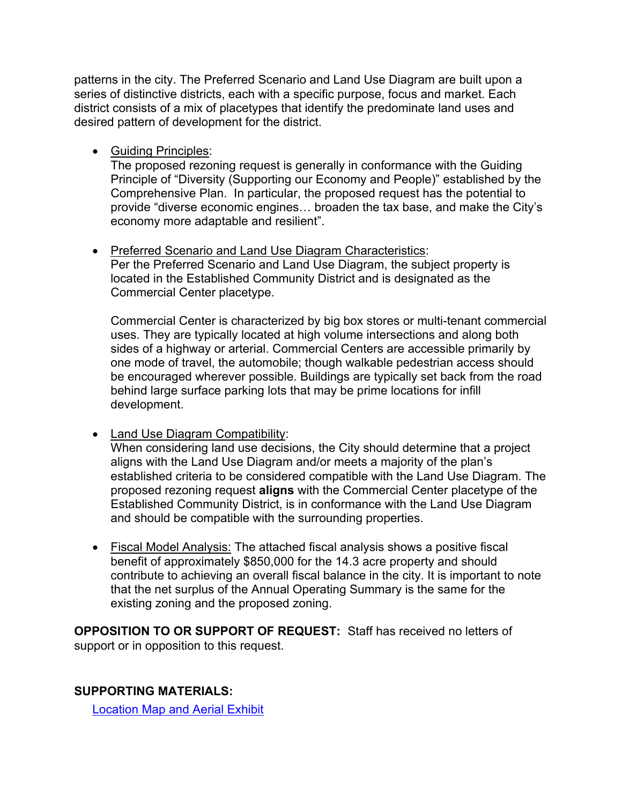patterns in the city. The Preferred Scenario and Land Use Diagram are built upon a series of distinctive districts, each with a specific purpose, focus and market. Each district consists of a mix of placetypes that identify the predominate land uses and desired pattern of development for the district.

· Guiding Principles:

The proposed rezoning request is generally in conformance with the Guiding Principle of "Diversity (Supporting our Economy and People)" established by the Comprehensive Plan. In particular, the proposed request has the potential to provide "diverse economic engines… broaden the tax base, and make the City's economy more adaptable and resilient".

· Preferred Scenario and Land Use Diagram Characteristics: Per the Preferred Scenario and Land Use Diagram, the subject property is located in the Established Community District and is designated as the Commercial Center placetype.

Commercial Center is characterized by big box stores or multi-tenant commercial uses. They are typically located at high volume intersections and along both sides of a highway or arterial. Commercial Centers are accessible primarily by one mode of travel, the automobile; though walkable pedestrian access should be encouraged wherever possible. Buildings are typically set back from the road behind large surface parking lots that may be prime locations for infill development.

• Land Use Diagram Compatibility:

When considering land use decisions, the City should determine that a project aligns with the Land Use Diagram and/or meets a majority of the plan's established criteria to be considered compatible with the Land Use Diagram. The proposed rezoning request **aligns** with the Commercial Center placetype of the Established Community District, is in conformance with the Land Use Diagram and should be compatible with the surrounding properties.

· Fiscal Model Analysis: The attached fiscal analysis shows a positive fiscal benefit of approximately \$850,000 for the 14.3 acre property and should contribute to achieving an overall fiscal balance in the city. It is important to note that the net surplus of the Annual Operating Summary is the same for the existing zoning and the proposed zoning.

**OPPOSITION TO OR SUPPORT OF REQUEST:** Staff has received no letters of support or in opposition to this request.

**SUPPORTING MATERIALS:**

[Location Map and Aerial Exhibit](View.ashx?M=F&ID=9874165&GUID=7ABE739D-DADF-44AD-8F07-D22C9A26F7D2)